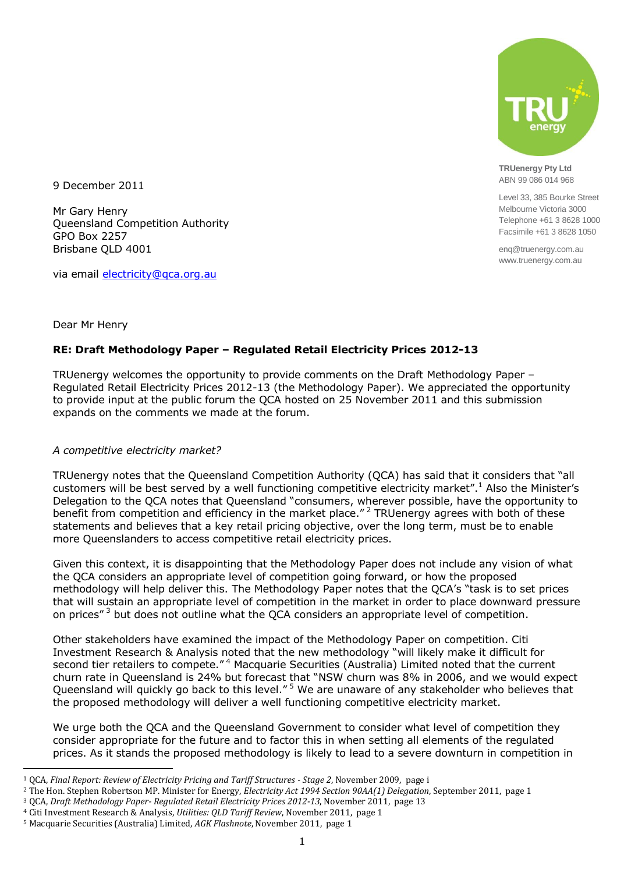

**TRUenergy Pty Ltd** ABN 99 086 014 968

Level 33, 385 Bourke Street Melbourne Victoria 3000 Telephone +61 3 8628 1000 Facsimile +61 3 8628 1050

enq@truenergy.com.au www.truenergy.com.au

9 December 2011

Mr Gary Henry Queensland Competition Authority GPO Box 2257 Brisbane QLD 4001

via email [electricity@qca.org.au](mailto:electricity@qca.org.au)

Dear Mr Henry

 $\overline{\phantom{a}}$ 

# **RE: Draft Methodology Paper – Regulated Retail Electricity Prices 2012-13**

TRUenergy welcomes the opportunity to provide comments on the Draft Methodology Paper – Regulated Retail Electricity Prices 2012-13 (the Methodology Paper). We appreciated the opportunity to provide input at the public forum the QCA hosted on 25 November 2011 and this submission expands on the comments we made at the forum.

### *A competitive electricity market?*

TRUenergy notes that the Queensland Competition Authority (QCA) has said that it considers that "all customers will be best served by a well functioning competitive electricity market".<sup>1</sup> Also the Minister's Delegation to the QCA notes that Queensland "consumers, wherever possible, have the opportunity to benefit from competition and efficiency in the market place."<sup>2</sup> TRUenergy agrees with both of these statements and believes that a key retail pricing objective, over the long term, must be to enable more Queenslanders to access competitive retail electricity prices.

Given this context, it is disappointing that the Methodology Paper does not include any vision of what the QCA considers an appropriate level of competition going forward, or how the proposed methodology will help deliver this. The Methodology Paper notes that the QCA's "task is to set prices that will sustain an appropriate level of competition in the market in order to place downward pressure on prices"<sup>3</sup> but does not outline what the QCA considers an appropriate level of competition.

Other stakeholders have examined the impact of the Methodology Paper on competition. Citi Investment Research & Analysis noted that the new methodology "will likely make it difficult for second tier retailers to compete."<sup>4</sup> Macquarie Securities (Australia) Limited noted that the current churn rate in Queensland is 24% but forecast that "NSW churn was 8% in 2006, and we would expect Queensland will quickly go back to this level."<sup>5</sup> We are unaware of any stakeholder who believes that the proposed methodology will deliver a well functioning competitive electricity market.

We urge both the QCA and the Queensland Government to consider what level of competition they consider appropriate for the future and to factor this in when setting all elements of the regulated prices. As it stands the proposed methodology is likely to lead to a severe downturn in competition in

<sup>1</sup> QCA, *Final Report: Review of Electricity Pricing and Tariff Structures - Stage 2*, November 2009, page i

<sup>2</sup> The Hon. Stephen Robertson MP. Minister for Energy, *Electricity Act 1994 Section 90AA(1) Delegation*, September 2011, page 1

<sup>3</sup> QCA, *Draft Methodology Paper- Regulated Retail Electricity Prices 2012-13*, November 2011, page 13

<sup>4</sup> Citi Investment Research & Analysis, *Utilities: QLD Tariff Review*, November 2011, page 1

<sup>5</sup> Macquarie Securities (Australia) Limited, *AGK Flashnote*, November 2011, page 1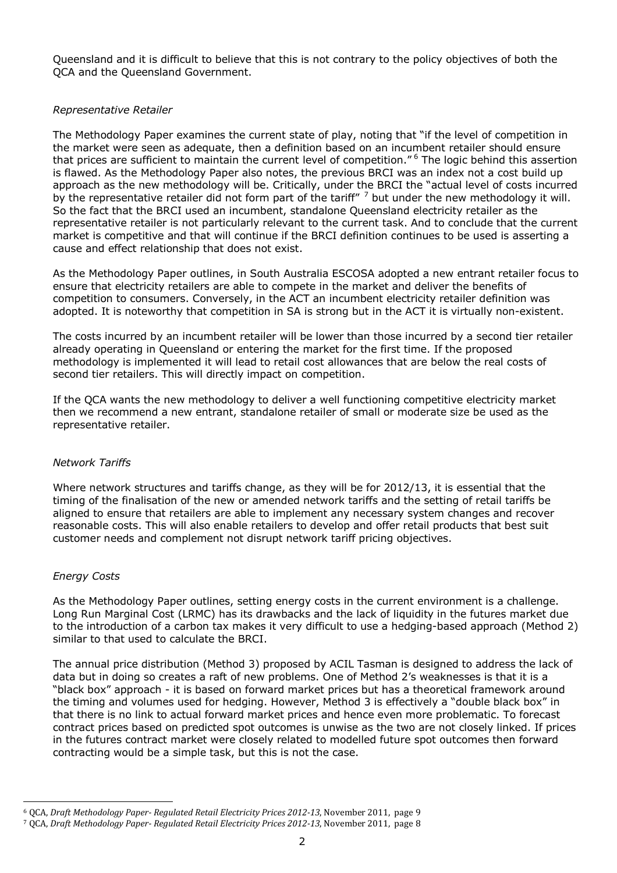Queensland and it is difficult to believe that this is not contrary to the policy objectives of both the QCA and the Queensland Government.

### *Representative Retailer*

The Methodology Paper examines the current state of play, noting that "if the level of competition in the market were seen as adequate, then a definition based on an incumbent retailer should ensure that prices are sufficient to maintain the current level of competition."<sup>6</sup> The logic behind this assertion is flawed. As the Methodology Paper also notes, the previous BRCI was an index not a cost build up approach as the new methodology will be. Critically, under the BRCI the "actual level of costs incurred by the representative retailer did not form part of the tariff" <sup>7</sup> but under the new methodology it will. So the fact that the BRCI used an incumbent, standalone Queensland electricity retailer as the representative retailer is not particularly relevant to the current task. And to conclude that the current market is competitive and that will continue if the BRCI definition continues to be used is asserting a cause and effect relationship that does not exist.

As the Methodology Paper outlines, in South Australia ESCOSA adopted a new entrant retailer focus to ensure that electricity retailers are able to compete in the market and deliver the benefits of competition to consumers. Conversely, in the ACT an incumbent electricity retailer definition was adopted. It is noteworthy that competition in SA is strong but in the ACT it is virtually non-existent.

The costs incurred by an incumbent retailer will be lower than those incurred by a second tier retailer already operating in Queensland or entering the market for the first time. If the proposed methodology is implemented it will lead to retail cost allowances that are below the real costs of second tier retailers. This will directly impact on competition.

If the QCA wants the new methodology to deliver a well functioning competitive electricity market then we recommend a new entrant, standalone retailer of small or moderate size be used as the representative retailer.

### *Network Tariffs*

Where network structures and tariffs change, as they will be for 2012/13, it is essential that the timing of the finalisation of the new or amended network tariffs and the setting of retail tariffs be aligned to ensure that retailers are able to implement any necessary system changes and recover reasonable costs. This will also enable retailers to develop and offer retail products that best suit customer needs and complement not disrupt network tariff pricing objectives.

# *Energy Costs*

As the Methodology Paper outlines, setting energy costs in the current environment is a challenge. Long Run Marginal Cost (LRMC) has its drawbacks and the lack of liquidity in the futures market due to the introduction of a carbon tax makes it very difficult to use a hedging-based approach (Method 2) similar to that used to calculate the BRCI.

The annual price distribution (Method 3) proposed by ACIL Tasman is designed to address the lack of data but in doing so creates a raft of new problems. One of Method 2's weaknesses is that it is a "black box" approach - it is based on forward market prices but has a theoretical framework around the timing and volumes used for hedging. However, Method 3 is effectively a "double black box" in that there is no link to actual forward market prices and hence even more problematic. To forecast contract prices based on predicted spot outcomes is unwise as the two are not closely linked. If prices in the futures contract market were closely related to modelled future spot outcomes then forward contracting would be a simple task, but this is not the case.

 $\overline{\phantom{a}}$ <sup>6</sup> QCA, *Draft Methodology Paper- Regulated Retail Electricity Prices 2012-13*, November 2011, page 9

<sup>7</sup> QCA, *Draft Methodology Paper- Regulated Retail Electricity Prices 2012-13*, November 2011, page 8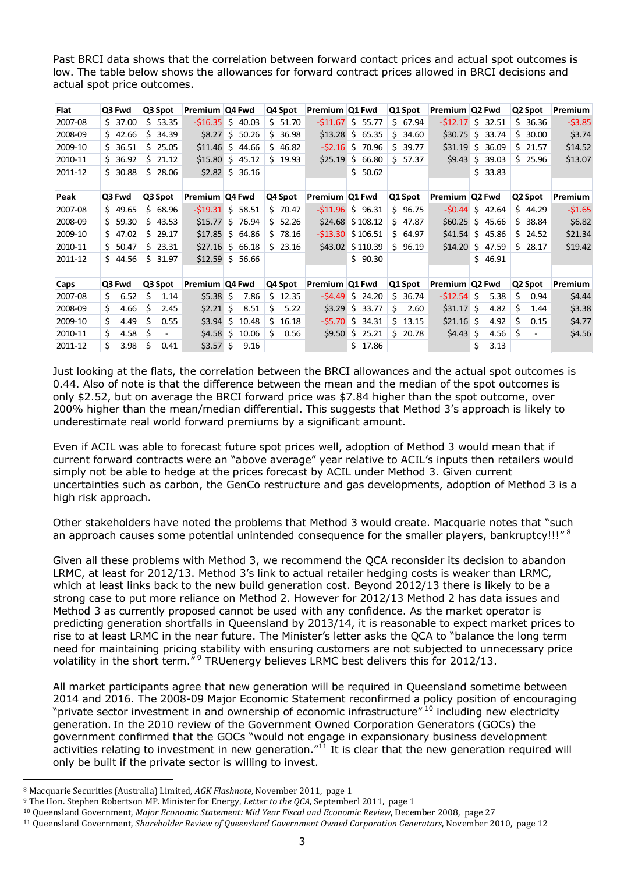Past BRCI data shows that the correlation between forward contact prices and actual spot outcomes is low. The table below shows the allowances for forward contract prices allowed in BRCI decisions and actual spot price outcomes.

| Flat    | Q3 Fwd    | Q3 Spot     | Premium Q4 Fwd |                   | Q4 Spot     | Premium Q1 Fwd   |                   | Q1 Spot     | Premium Q2 Fwd   |              | Q2 Spot     | Premium  |
|---------|-----------|-------------|----------------|-------------------|-------------|------------------|-------------------|-------------|------------------|--------------|-------------|----------|
| 2007-08 | \$37.00   | \$53.35     | $-516.35$      | \$40.03           | \$51.70     | $-511.67$        | S.<br>55.77       | \$67.94     | $-512.17$        | S.<br>32.51  | Ś.<br>36.36 | $-53.85$ |
| 2008-09 | \$42.66   | Ś.<br>34.39 |                | $$8.27 \$ 50.26$  | \$36.98     | \$13.28          | \$65.35           | \$<br>34.60 | \$30.75          | \$<br>33.74  | \$30.00     | \$3.74   |
| 2009-10 | \$36.51   | \$25.05     | \$11.46        | \$<br>44.66       | 546.82      | $-52.16$         | Ŝ.<br>70.96       | Ś.<br>39.77 | \$31.19          | 36.09<br>Ŝ.  | 521.57      | \$14.52  |
| 2010-11 | 36.92     | \$21.12     |                | $$15.80$ \$ 45.12 | \$19.93     | \$25.19          | \$<br>66.80       | Ś.<br>57.37 | \$9.43           | \$<br>39.03  | \$25.96     | \$13.07  |
| 2011-12 | 30.88     | S.<br>28.06 |                | $$2.82$ \$ 36.16  |             |                  | \$50.62           |             |                  | \$33.83      |             |          |
|         |           |             |                |                   |             |                  |                   |             |                  |              |             |          |
| Peak    | Q3 Fwd    | Q3 Spot     | Premium Q4 Fwd |                   | Q4 Spot     | Premium   Q1 Fwd |                   | Q1 Spot     | Premium   Q2 Fwd |              | Q2 Spot     | Premium  |
| 2007-08 | \$49.65   | \$68.96     | $-$ \$19.31    | Ŝ.<br>58.51       | $5\,70.47$  | $-511.96$        | \$96.31           | \$96.75     | $-50.44$         | \$42.64      | 544.29      | $-51.65$ |
| 2008-09 | \$59.30   | \$43.53     |                | $$15.77$ \$ 76.94 | \$52.26     |                  | $$24.68 \$108.12$ | \$47.87     | \$60.25          | \$45.66      | \$38.84     | \$6.82   |
| 2009-10 | \$47.02   | \$29.17     | \$17.85        | \$64.86           | \$78.16     | $-$ \$13.30      | \$106.51          | \$64.97     | \$41.54          | \$.<br>45.86 | \$24.52     | \$21.34  |
| 2010-11 | \$50.47   | \$23.31     | \$27.16        | \$66.18           | \$23.16     |                  | $$43.02 \$110.39$ | \$96.19     | \$14.20          | \$<br>47.59  | $5\,28.17$  | \$19.42  |
| 2011-12 | \$44.56   | Ś.<br>31.97 | \$12.59        | Ŝ.<br>56.66       |             |                  | \$90.30           |             |                  | \$46.91      |             |          |
|         |           |             |                |                   |             |                  |                   |             |                  |              |             |          |
| Caps    | Q3 Fwd    | Q3 Spot     | Premium Q4 Fwd |                   | Q4 Spot     | Premium Q1 Fwd   |                   | Q1 Spot     | Premium   Q2 Fwd |              | Q2 Spot     | Premium  |
| 2007-08 | Ś<br>6.52 | S<br>1.14   | $$5.38$ \$     | 7.86              | \$12.35     | $-54.49$         | Ŝ.<br>24.20       | 36.74<br>Ś. | $-512.54$        | -S<br>5.38   | Ś.<br>0.94  | \$4.44   |
| 2008-09 | Ś<br>4.66 | \$<br>2.45  | $$2.21$ \$     | 8.51              | Ś.<br>5.22  | \$3.29           | \$<br>33.77       | \$<br>2.60  | $$31.17$ \$      | 4.82         | Ś.<br>1.44  | \$3.38   |
| 2009-10 | Ś<br>4.49 | Ś.<br>0.55  | \$3.94         | \$<br>10.48       | Ś.<br>16.18 | $-55.70$         | \$<br>34.31       | Ś.<br>13.15 | $$21.16$ \$      | 4.92         | Ś.<br>0.15  | \$4.77   |
| 2010-11 | Ś<br>4.58 | \$          | $$4.58$ \$     | 10.06             | Ś.<br>0.56  | \$9.50           | \$.<br>25.21      | S.<br>20.78 | $$4.43$ \$       | 4.56         | \$          | \$4.56   |
| 2011-12 | Ś<br>3.98 | \$<br>0.41  | $$3.57$ \$     | 9.16              |             |                  | 17.86<br>Ś.       |             |                  | Ś.<br>3.13   |             |          |

Just looking at the flats, the correlation between the BRCI allowances and the actual spot outcomes is 0.44. Also of note is that the difference between the mean and the median of the spot outcomes is only \$2.52, but on average the BRCI forward price was \$7.84 higher than the spot outcome, over 200% higher than the mean/median differential. This suggests that Method 3's approach is likely to underestimate real world forward premiums by a significant amount.

Even if ACIL was able to forecast future spot prices well, adoption of Method 3 would mean that if current forward contracts were an "above average" year relative to ACIL's inputs then retailers would simply not be able to hedge at the prices forecast by ACIL under Method 3. Given current uncertainties such as carbon, the GenCo restructure and gas developments, adoption of Method 3 is a high risk approach.

Other stakeholders have noted the problems that Method 3 would create. Macquarie notes that "such an approach causes some potential unintended consequence for the smaller players, bankruptcy!!!"<sup>8</sup>

Given all these problems with Method 3, we recommend the QCA reconsider its decision to abandon LRMC, at least for 2012/13. Method 3's link to actual retailer hedging costs is weaker than LRMC, which at least links back to the new build generation cost. Beyond 2012/13 there is likely to be a strong case to put more reliance on Method 2. However for 2012/13 Method 2 has data issues and Method 3 as currently proposed cannot be used with any confidence. As the market operator is predicting generation shortfalls in Queensland by 2013/14, it is reasonable to expect market prices to rise to at least LRMC in the near future. The Minister's letter asks the QCA to "balance the long term need for maintaining pricing stability with ensuring customers are not subjected to unnecessary price volatility in the short term.<sup>" 9</sup> TRUenergy believes LRMC best delivers this for 2012/13.

All market participants agree that new generation will be required in Queensland sometime between 2014 and 2016. The 2008-09 Major Economic Statement reconfirmed a policy position of encouraging "private sector investment in and ownership of economic infrastructure" <sup>10</sup> including new electricity generation. In the 2010 review of the Government Owned Corporation Generators (GOCs) the government confirmed that the GOCs "would not engage in expansionary business development activities relating to investment in new generation." $^{11}$  It is clear that the new generation required will only be built if the private sector is willing to invest.

 $\overline{\phantom{a}}$ 

<sup>8</sup> Macquarie Securities (Australia) Limited, *AGK Flashnote*, November 2011, page 1

<sup>9</sup> The Hon. Stephen Robertson MP. Minister for Energy, *Letter to the QCA*, Septemberl 2011, page 1

<sup>10</sup> Queensland Government, *Major Economic Statement: Mid Year Fiscal and Economic Review*, December 2008, page 27

<sup>11</sup> Queensland Government, *Shareholder Review of Queensland Government Owned Corporation Generators*, November 2010, page 12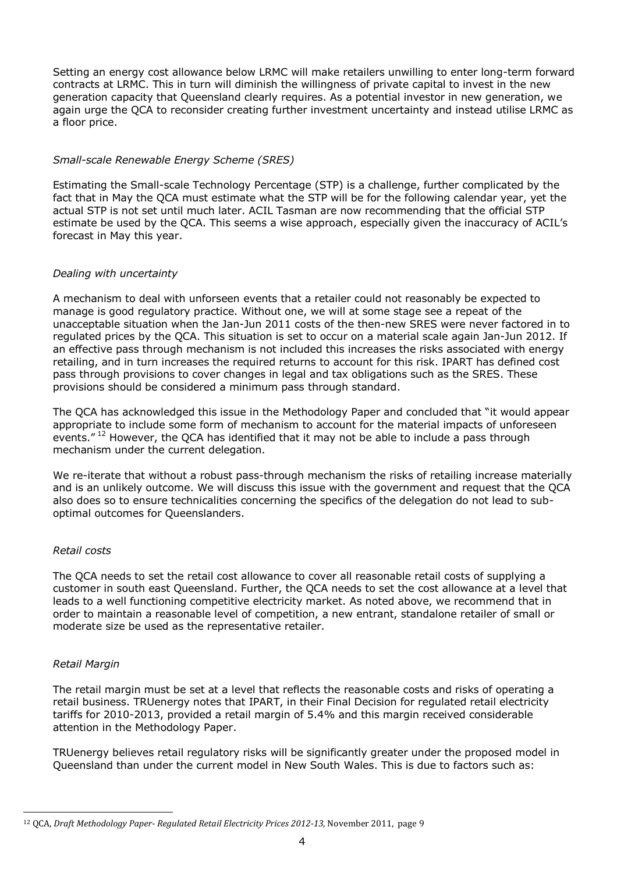Setting an energy cost allowance below LRMC will make retailers unwilling to enter long-term forward contracts at LRMC. This in turn will diminish the willingness of private capital to invest in the new generation capacity that Queensland clearly requires. As a potential investor in new generation, we again urge the QCA to reconsider creating further investment uncertainty and instead utilise LRMC as a floor price.

# *Small-scale Renewable Energy Scheme (SRES)*

Estimating the Small-scale Technology Percentage (STP) is a challenge, further complicated by the fact that in May the QCA must estimate what the STP will be for the following calendar year, yet the actual STP is not set until much later. ACIL Tasman are now recommending that the official STP estimate be used by the QCA. This seems a wise approach, especially given the inaccuracy of ACIL's forecast in May this year.

### *Dealing with uncertainty*

A mechanism to deal with unforseen events that a retailer could not reasonably be expected to manage is good regulatory practice. Without one, we will at some stage see a repeat of the unacceptable situation when the Jan-Jun 2011 costs of the then-new SRES were never factored in to regulated prices by the QCA. This situation is set to occur on a material scale again Jan-Jun 2012. If an effective pass through mechanism is not included this increases the risks associated with energy retailing, and in turn increases the required returns to account for this risk. IPART has defined cost pass through provisions to cover changes in legal and tax obligations such as the SRES. These provisions should be considered a minimum pass through standard.

The QCA has acknowledged this issue in the Methodology Paper and concluded that "it would appear appropriate to include some form of mechanism to account for the material impacts of unforeseen events."<sup>12</sup> However, the QCA has identified that it may not be able to include a pass through mechanism under the current delegation.

We re-iterate that without a robust pass-through mechanism the risks of retailing increase materially and is an unlikely outcome. We will discuss this issue with the government and request that the QCA also does so to ensure technicalities concerning the specifics of the delegation do not lead to suboptimal outcomes for Queenslanders.

### *Retail costs*

The QCA needs to set the retail cost allowance to cover all reasonable retail costs of supplying a customer in south east Queensland. Further, the QCA needs to set the cost allowance at a level that leads to a well functioning competitive electricity market. As noted above, we recommend that in order to maintain a reasonable level of competition, a new entrant, standalone retailer of small or moderate size be used as the representative retailer.

### *Retail Margin*

The retail margin must be set at a level that reflects the reasonable costs and risks of operating a retail business. TRUenergy notes that IPART, in their Final Decision for regulated retail electricity tariffs for 2010-2013, provided a retail margin of 5.4% and this margin received considerable attention in the Methodology Paper.

TRUenergy believes retail regulatory risks will be significantly greater under the proposed model in Queensland than under the current model in New South Wales. This is due to factors such as:

 $\overline{\phantom{a}}$ <sup>12</sup> QCA, *Draft Methodology Paper- Regulated Retail Electricity Prices 2012-13*, November 2011, page 9